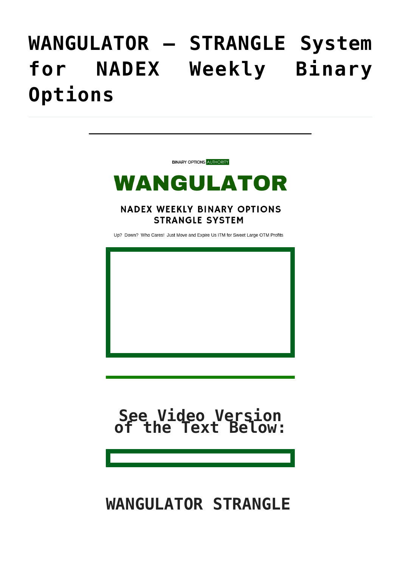## **[WANGULATOR – STRANGLE System](https://binaryoptionsauthority.com/wangulator-strangle-system-for-nadex-weekly-binary-options/) [for NADEX Weekly Binary](https://binaryoptionsauthority.com/wangulator-strangle-system-for-nadex-weekly-binary-options/) [Options](https://binaryoptionsauthority.com/wangulator-strangle-system-for-nadex-weekly-binary-options/)**

**BINARY OPTIONS AUTHORITY** 

#### WANGULATOR

**NADEX WEEKLY BINARY OPTIONS STRANGLE SYSTEM** 

Up? Down? Who Cares! Just Move and Expire Us ITM for Sweet Large OTM Profits



# **See Video Version of the Text Below:**

#### **WANGULATOR STRANGLE**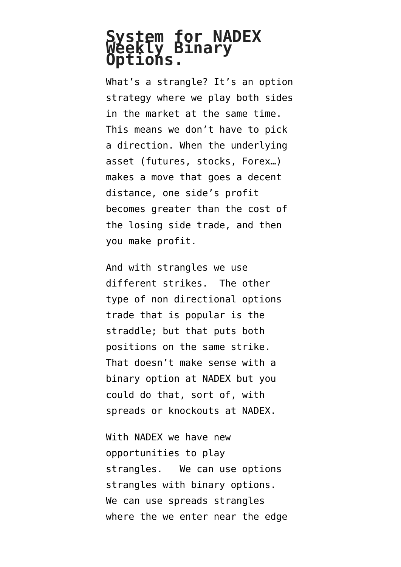# **System for NADEX Weekly Binary Options.**

What's a strangle? It's an option strategy where we play both sides in the market at the same time. This means we don't have to pick a direction. When the underlying asset (futures, stocks, Forex…) makes a move that goes a decent distance, one side's profit becomes greater than the cost of the losing side trade, and then you make profit.

And with strangles we use different strikes. The other type of non directional options trade that is popular is the straddle; but that puts both positions on the same strike. That doesn't make sense with a binary option at NADEX but you could do that, sort of, with spreads or knockouts at NADEX.

With NADEX we have new opportunities to play strangles. We can use options strangles with binary options. We can use spreads strangles where the we enter near the edge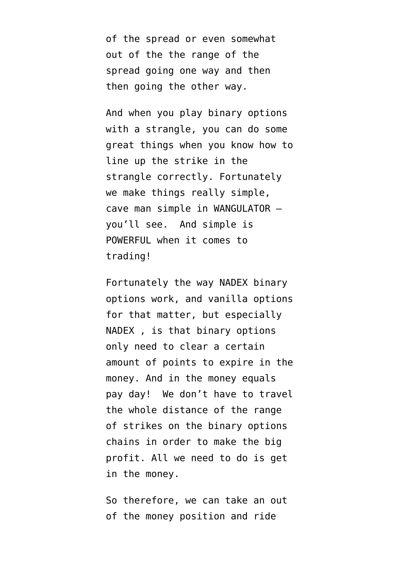of the spread or even somewhat out of the the range of the spread going one way and then then going the other way.

And when you play binary options with a strangle, you can do some great things when you know how to line up the strike in the strangle correctly. Fortunately we make things really simple, cave man simple in WANGULATOR – you'll see. And simple is POWERFUL when it comes to trading!

Fortunately the way NADEX binary options work, and vanilla options for that matter, but especially NADEX , is that binary options only need to clear a certain amount of points to expire in the money. And in the money equals pay day! We don't have to travel the whole distance of the range of strikes on the binary options chains in order to make the big profit. All we need to do is get in the money.

So therefore, we can take an out of the money position and ride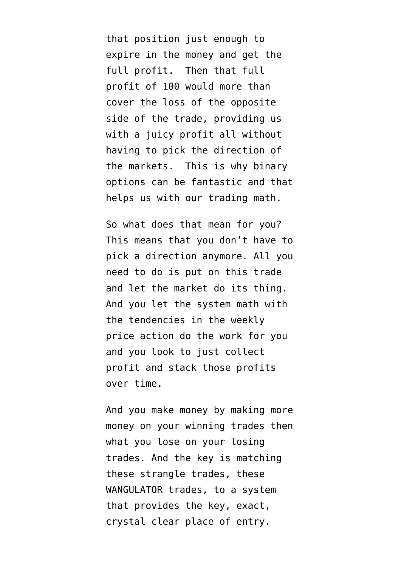that position just enough to expire in the money and get the full profit. Then that full profit of 100 would more than cover the loss of the opposite side of the trade, providing us with a juicy profit all without having to pick the direction of the markets. This is why binary options can be fantastic and that helps us with our trading math.

So what does that mean for you? This means that you don't have to pick a direction anymore. All you need to do is put on this trade and let the market do its thing. And you let the system math with the tendencies in the weekly price action do the work for you and you look to just collect profit and stack those profits over time.

And you make money by making more money on your winning trades then what you lose on your losing trades. And the key is matching these strangle trades, these WANGULATOR trades, to a system that provides the key, exact, crystal clear place of entry.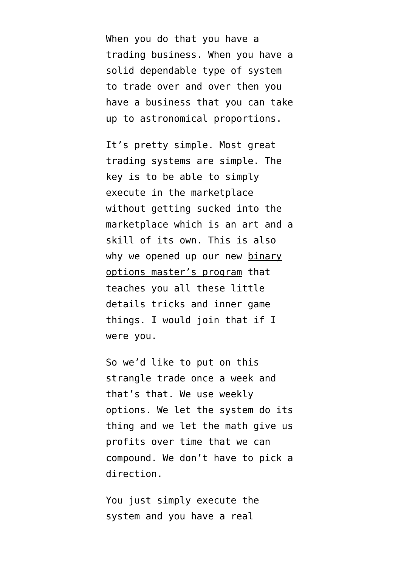When you do that you have a trading business. When you have a solid dependable type of system to trade over and over then you have a business that you can take up to astronomical proportions.

It's pretty simple. Most great trading systems are simple. The key is to be able to simply execute in the marketplace without getting sucked into the marketplace which is an art and a skill of its own. This is also why we opened up our new [binary](https://binaryoptionsauthority.com/binary-options-authority-mastery-trading-coaching-programs/) [options master's program](https://binaryoptionsauthority.com/binary-options-authority-mastery-trading-coaching-programs/) that teaches you all these little details tricks and inner game things. I would join that if I were you.

So we'd like to put on this strangle trade once a week and that's that. We use weekly options. We let the system do its thing and we let the math give us profits over time that we can compound. We don't have to pick a direction.

You just simply execute the system and you have a real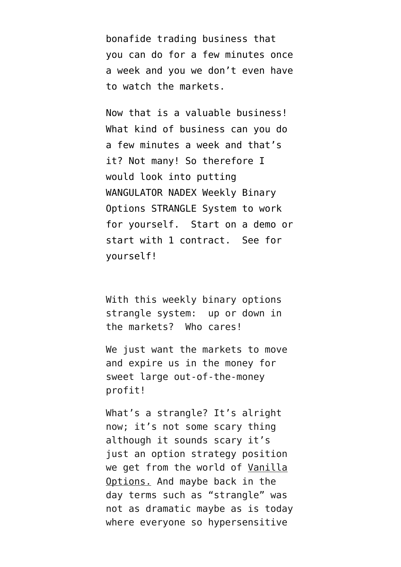bonafide trading business that you can do for a few minutes once a week and you we don't even have to watch the markets.

Now that is a valuable business! What kind of business can you do a few minutes a week and that's it? Not many! So therefore I would look into putting WANGULATOR NADEX Weekly Binary Options STRANGLE System to work for yourself. Start on a demo or start with 1 contract. See for yourself!

With this weekly binary options strangle system: up or down in the markets? Who cares!

We just want the markets to move and expire us in the money for sweet large out-of-the-money profit!

What's a strangle? It's alright now; it's not some scary thing although it sounds scary it's just an option strategy position we get from the world of [Vanilla](http://optionstradingauthority.com) [Options.](http://optionstradingauthority.com) And maybe back in the day terms such as "strangle" was not as dramatic maybe as is today where everyone so hypersensitive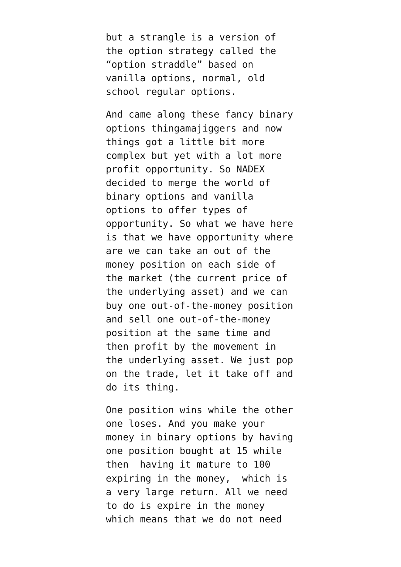but a strangle is a version of the option strategy called the "option straddle" based on vanilla options, normal, old school regular options.

And came along these fancy binary options thingamajiggers and now things got a little bit more complex but yet with a lot more profit opportunity. So NADEX decided to merge the world of binary options and vanilla options to offer types of opportunity. So what we have here is that we have opportunity where are we can take an out of the money position on each side of the market (the current price of the underlying asset) and we can buy one out-of-the-money position and sell one out-of-the-money position at the same time and then profit by the movement in the underlying asset. We just pop on the trade, let it take off and do its thing.

One position wins while the other one loses. And you make your money in binary options by having one position bought at 15 while then having it mature to 100 expiring in the money, which is a very large return. All we need to do is expire in the money which means that we do not need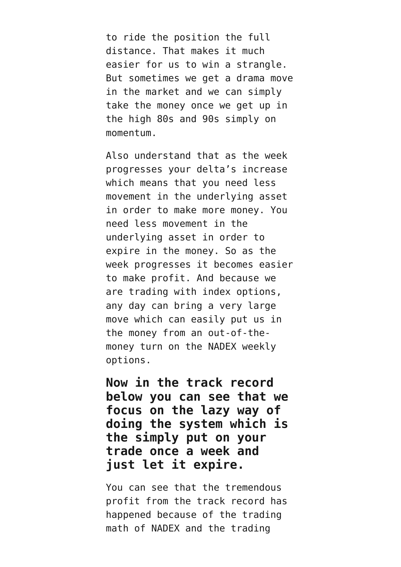to ride the position the full distance. That makes it much easier for us to win a strangle. But sometimes we get a drama move in the market and we can simply take the money once we get up in the high 80s and 90s simply on momentum.

Also understand that as the week progresses your delta's increase which means that you need less movement in the underlying asset in order to make more money. You need less movement in the underlying asset in order to expire in the money. So as the week progresses it becomes easier to make profit. And because we are trading with index options, any day can bring a very large move which can easily put us in the money from an out-of-themoney turn on the NADEX weekly options.

**Now in the track record below you can see that we focus on the lazy way of doing the system which is the simply put on your trade once a week and just let it expire.**

You can see that the tremendous profit from the track record has happened because of the trading math of NADEX and the trading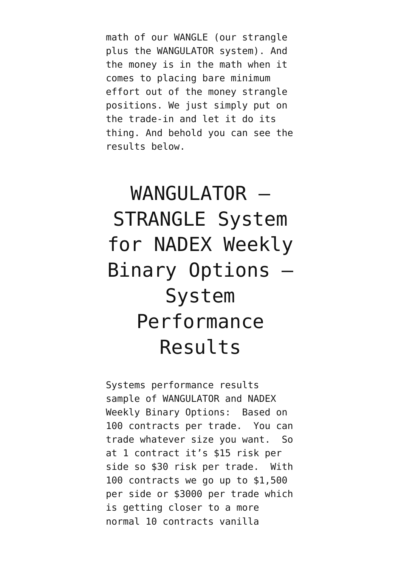math of our WANGLE (our strangle plus the WANGULATOR system). And the money is in the math when it comes to placing bare minimum effort out of the money strangle positions. We just simply put on the trade-in and let it do its thing. And behold you can see the results below.

### WANGULATOR -STRANGLE System for NADEX Weekly Binary Options – System Performance Results

Systems performance results sample of WANGULATOR and NADEX Weekly Binary Options: Based on 100 contracts per trade. You can trade whatever size you want. So at 1 contract it's \$15 risk per side so \$30 risk per trade. With 100 contracts we go up to \$1,500 per side or \$3000 per trade which is getting closer to a more normal 10 contracts vanilla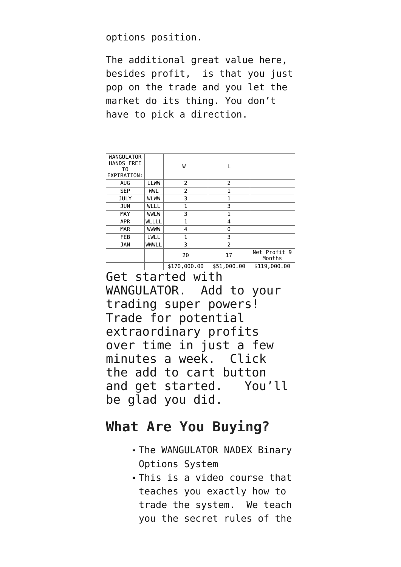options position.

The additional great value here, besides profit, is that you just pop on the trade and you let the market do its thing. You don't have to pick a direction.

| <b>WANGULATOR</b><br><b>HANDS FREE</b><br>T0<br>EXPIRATION: |             | W            |                |                        |
|-------------------------------------------------------------|-------------|--------------|----------------|------------------------|
| <b>AUG</b>                                                  | <b>LLWW</b> | 2            | $\overline{2}$ |                        |
| <b>SEP</b>                                                  | <b>WWL</b>  | 2            | 1              |                        |
| <b>JULY</b>                                                 | <b>WLWW</b> | 3            | 1              |                        |
| <b>JUN</b>                                                  | WLLL        | 1            | 3              |                        |
| MAY                                                         | <b>WWLW</b> | 3            | 1              |                        |
| <b>APR</b>                                                  | WLLLL       | 1            | 4              |                        |
| <b>MAR</b>                                                  | <b>WWW</b>  | 4            | 0              |                        |
| <b>FEB</b>                                                  | LWLL        | 1            | 3              |                        |
| <b>JAN</b>                                                  | WWWLL       | 3            | $\overline{2}$ |                        |
|                                                             |             | 20           | 17             | Net Profit 9<br>Months |
|                                                             |             | \$170,000.00 | \$51,000.00    | \$119,000.00           |

Get started with WANGULATOR. Add to your trading super powers! Trade for potential extraordinary profits over time in just a few minutes a week. Click the add to cart button and get started. You'll be glad you did.

#### **What Are You Buying?**

- The WANGULATOR NADEX Binary Options System
- This is a video course that teaches you exactly how to trade the system. We teach you the secret rules of the